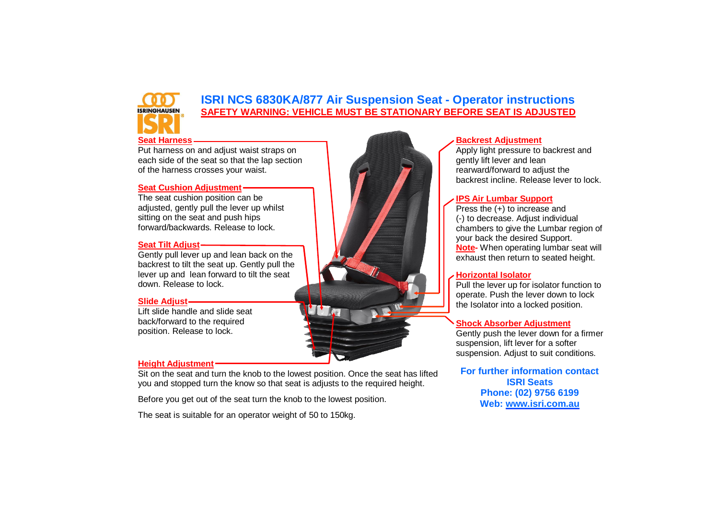# **ISRINGHAUSEN**

# **ISRI NCS 6830KA/877 Air Suspension Seat - Operator instructions SAFETY WARNING: VEHICLE MUST BE STATIONARY BEFORE SEAT IS ADJUSTED**

## **Seat Harness**

Put harness on and adjust waist straps on each side of the seat so that the lap section of the harness crosses your waist.

## **Seat Cushion Adjustment**

The seat cushion position can be adjusted, gently pull the lever up whilst sitting on the seat and push hips forward/backwards. Release to lock.

## **Seat Tilt Adjust**

Gently pull lever up and lean back on the backrest to tilt the seat up. Gently pull the lever up and lean forward to tilt the seat down. Release to lock.

## **Slide Adjust**

Lift slide handle and slide seat back/forward to the required position. Release to lock.

## **Height Adjustment**

Sit on the seat and turn the knob to the lowest position. Once the seat has lifted you and stopped turn the know so that seat is adjusts to the required height.

Before you get out of the seat turn the knob to the lowest position.

The seat is suitable for an operator weight of 50 to 150kg.

## **Backrest Adjustment**

Apply light pressure to backrest and gently lift lever and lean rearward/forward to adjust the backrest incline. Release lever to lock.

## **IPS Air Lumbar Support**

Press the (+) to increase and (-) to decrease. Adjust individual chambers to give the Lumbar region of your back the desired Support. **Note-** When operating lumbar seat will exhaust then return to seated height.

## **Horizontal Isolator**

Pull the lever up for isolator function to operate. Push the lever down to lock the Isolator into a locked position.

## **Shock Absorber Adjustment**

Gently push the lever down for a firmer suspension, lift lever for a softer suspension. Adjust to suit conditions.

**For further information contact ISRI Seats Phone: (02) 9756 6199 Web: [www.isri.com.au](http://www.isri.com.au/)**